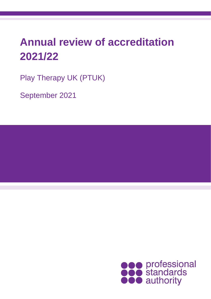# **Annual review of accreditation 2021/22**

Play Therapy UK (PTUK)

September 2021

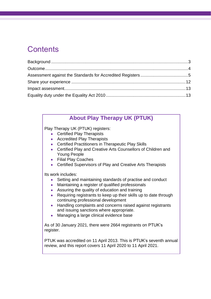## **Contents**

### **About Play Therapy UK (PTUK)**

Play Therapy UK (PTUK) registers:

- Certified Play Therapists
- Accredited Play Therapists
- Certified Practitioners in Therapeutic Play Skills
- Certified Play and Creative Arts Counsellors of Children and Young People
- Filial Play Coaches
- Certified Supervisors of Play and Creative Arts Therapists

Its work includes:

- Setting and maintaining standards of practise and conduct
- Maintaining a register of qualified professionals
- Assuring the quality of education and training
- Requiring registrants to keep up their skills up to date through continuing professional development
- Handling complaints and concerns raised against registrants and issuing sanctions where appropriate.
- Managing a large clinical evidence base

As of 30 January 2021, there were 2664 registrants on PTUK's register.

PTUK was accredited on 11 April 2013. This is PTUK's seventh annual review, and this report covers 11 April 2020 to 11 April 2021.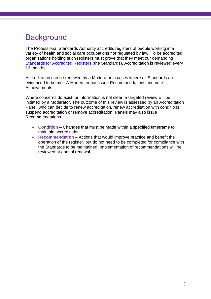# <span id="page-2-0"></span>**Background**

The Professional Standards Authority accredits registers of people working in a variety of health and social care occupations not regulated by law. To be accredited, organisations holding such registers must prove that they meet our demanding [Standards for Accredited Registers](https://www.professionalstandards.org.uk/accredited-registers/about-accredited-registers/our-standards) (the Standards). Accreditation is reviewed every 12 months.

Accreditation can be renewed by a Moderator in cases where all Standards are evidenced to be met. A Moderator can issue Recommendations and note Achievements.

Where concerns do exist, or information is not clear, a targeted review will be initiated by a Moderator. The outcome of this review is assessed by an Accreditation Panel, who can decide to renew accreditation, renew accreditation with conditions, suspend accreditation or remove accreditation. Panels may also issue Recommendations.

- **Condition** Changes that must be made within a specified timeframe to maintain accreditation
- **Recommendation** Actions that would improve practice and benefit the operation of the register, but do not need to be completed for compliance with the Standards to be maintained. Implementation of recommendations will be reviewed at annual renewal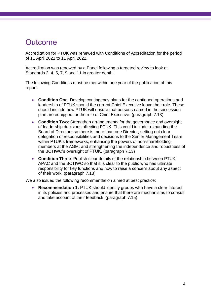### <span id="page-3-0"></span>**Outcome**

Accreditation for PTUK was renewed with Conditions of Accreditation for the period of 11 April 2021 to 11 April 2022.

Accreditation was renewed by a Panel following a targeted review to look at Standards 2, 4, 5, 7, 9 and 11 in greater depth.

The following Conditions must be met within one year of the publication of this report:

- **Condition One**: Develop contingency plans for the continued operations and leadership of PTUK should the current Chief Executive leave their role. These should include how PTUK will ensure that persons named in the succession plan are equipped for the role of Chief Executive. (paragraph 7.13)
- **Condition Two**: Strengthen arrangements for the governance and oversight of leadership decisions affecting PTUK. This could include: expanding the Board of Directors so there is more than one Director; setting out clear delegation of responsibilities and decisions to the Senior Management Team within PTUK's frameworks; enhancing the powers of non-shareholding members at the AGM; and strengthening the independence and robustness of the BCTIWC's oversight of PTUK. (paragraph 7.13)
- **Condition Three**: Publish clear details of the relationship between PTUK, APAC and the BCTIWC so that it is clear to the public who has ultimate responsibility for key functions and how to raise a concern about any aspect of their work. (paragraph 7.13)

We also issued the following recommendation aimed at best practice:

• **Recommendation 1:** PTUK should identify groups who have a clear interest in its policies and processes and ensure that there are mechanisms to consult and take account of their feedback. (paragraph 7.15)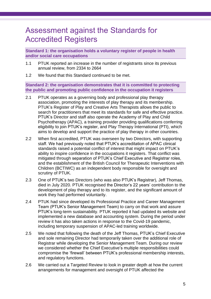### <span id="page-4-0"></span>Assessment against the Standards for Accredited Registers

**Standard 1: the organisation holds a voluntary register of people in health and/or social care occupations**

- 1.1 PTUK reported an increase in the number of registrants since its previous annual review, from 2334 to 2664
- 1.2 We found that this Standard continued to be met.

**Standard 2: the organisation demonstrates that it is committed to protecting the public and promoting public confidence in the occupation it registers**

- 2.1 PTUK operates as a governing body and professional play therapy association, promoting the interests of play therapy and its membership. PTUK's Register of Play and Creative Arts Therapists allows the public to search for practitioners that meet its standards for safe and effective practice. PTUK's Director and staff also operate the Academy of Play and Child Psychotherapy (APAC), a training provider providing qualifications conferring eligibility to join PTUK's register, and Play Therapy International (PTI), which aims to develop and support the practice of play therapy in other countries.
- 2.2 When first accredited, PTUK was overseen by two Directors, with supporting staff. We had previously noted that PTUK's accreditation of APAC clinical standards raised a potential conflict of interest that might impact on PTUK's ability to inspire confidence in the occupations it registers. That conflict was mitigated through separation of PTUK's Chief Executive and Registrar roles, and the establishment of the British Council for Therapeutic Interventions with Children (BCTIWC) as an independent body responsible for oversight and scrutiny of PTUK.
- 2.3 One of PTUK's two Directors (who was also PTUK's Registrar), Jeff Thomas, died in July 2020. PTUK recognised the Director's 22 years' contribution to the development of play therapy and to its register, and the significant amount of work they had performed voluntarily.
- 2.4 PTUK had since developed its Professional Practice and Career Management Team (PTUK's Senior Management Team) to carry on that work and assure PTUK's long-term sustainability. PTUK reported it had updated its website and implemented a new database and accounting system. During the period under review it has also taken actions in response to the Covid-19 pandemic, including temporary suspension of APAC-led training worldwide.
- 2.5 We noted that following the death of the Jeff Thomas, PTUK's Chief Executive and sole remaining Director had temporarily taken over the additional role of Registrar while developing the Senior Management Team. During our review we considered whether the Chief Executive's multiple responsibilities could compromise the 'firewall' between PTUK's professional membership interests, and regulatory functions.
- 2.6 We carried out a Targeted Review to look in greater depth at how the current arrangements for management and oversight of PTUK affected the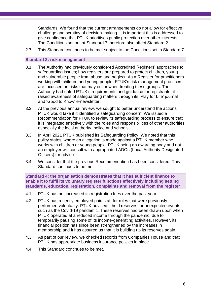Standards. We found that the current arrangements do not allow for effective challenge and scrutiny of decision-making. It is important this is addressed to give confidence that PTUK prioritises public protection over other interests. The Conditions set out at Standard 7 therefore also affect Standard 2.

2.7 This Standard continues to be met subject to the Conditions set in Standard 7.

#### **Standard 3: risk management**

- 3.1 The Authority had previously considered Accredited Registers' approaches to safeguarding issues; how registers are prepared to protect children, young and vulnerable people from abuse and neglect. As a Register for practitioners working with children and young people, PTUK's risk management practices are focussed on risks that may occur when treating these groups. The Authority had noted PTUK's requirements and guidance for registrants: it raised awareness of safeguarding matters through its 'Play for Life' journal and 'Good to Know' e-newsletter.
- 3.2 At the previous annual review, we sought to better understand the actions PTUK would take if it identified a safeguarding concern. We issued a Recommendation for PTUK to review its safeguarding process to ensure that it is integrated effectively with the roles and responsibilities of other authorities especially the local authority, police and schools.
- 3.3 In April 2021 PTUK published its [Safeguarding Policy.](https://playtherapy.org.uk/wp-content/uploads/2021/05/PTUK-safeguarding-policy.pdf) We noted that this policy states 'where an allegation is made against a PTUK member who works with children or young people, PTUK being an awarding body and not an employer will consult with appropriate LADOs (Local Authority Designated Officers) for advice'.
- 3.4 We consider that the previous Recommendation has been considered. This Standard continues to be met.

**Standard 4: the organisation demonstrates that it has sufficient finance to enable it to fulfil its voluntary register functions effectively including setting standards, education, registration, complaints and removal from the register**

- 4.1 PTUK has not increased its registration fees over the past year.
- 4.2 PTUK has recently employed paid staff for roles that were previously performed voluntarily. PTUK advised it held reserves for unexpected events such as the Covid-19 pandemic. These reserves had been drawn upon when PTUK operated at a reduced income through the pandemic, due to temporarily pausing some of its income-generating activities. However, its financial position has since been strengthened by the increases in membership and it has assured us that it is building up its reserves again.
- 4.3 As part of our review, we checked records from Companies House and that PTUK has appropriate business insurance policies in place.
- 4.4 This Standard continues to be met.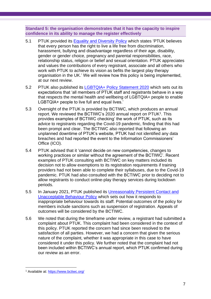**Standard 5: the organisation demonstrates that it has the capacity to inspire confidence in its ability to manage the register effectively**

- 5.1 PTUK provided its **Equality and Diversity Policy which states 'PTUK believes** that every person has the right to live a life free from discrimination, harassment, bullying and disadvantage regardless of their age, disability, gender or gender choice, pregnancy and parental responsibilities, race, relationship status, religion or belief and sexual orientation. PTUK appreciates and values the contributions of every registrant, associate and all others who work with PTUK to achieve its vision as befits the largest play therapy organisation in the UK.' We will review how this policy is being implemented, at our next review.
- 5.2 PTUK also published its [LGBTQIA+ Policy Statement 2020](https://playtherapy.org.uk/lgbtqia-policy-statement-2020/) which sets out its expectations that 'all members of PTUK staff and registrants behave in a way that respects the mental health and wellbeing of LGBTQIA+ people to enable LGBTQIA+ people to live full and equal lives.'
- 5.3 Oversight of the PTUK is provided by BCTIWC, which produces an annual report. We reviewed the BCTIWC's 2020 annual report on PTUK<sup>1</sup>. This provides examples of BCTIWC checking' the work of PTUK, such as its advice to registrants regarding the Covid-19 pandemic, finding that this had been prompt and clear. The BCTIWC also reported that following an unplanned downtime of PTUK's website, PTUK had not identified any data breaches and had reported the event to the Information Commissioners' Office (ICO).
- 5.4 PTUK advised that it 'cannot decide on new competencies, changes to working practices or similar without the agreement of the BCTIWC'. Recent examples of PTUK consulting with BCTIWC on key matters included its decision not to allow exemptions to its registration requirements if training providers had not been able to complete their syllabuses, due to the Covid-19 pandemic. PTUK had also consulted with the BCTIWC prior to deciding not to allow registrants to conduct online-play therapy services during lockdown periods.
- 5.5 In January 2021, PTUK published its [Unreasonably Persistent Contact and](https://playtherapy.org.uk/wp-content/uploads/2021/06/Unreasonably-Persistent-Contact-and-Unacceptable-Behaviour-Policy-01-21VFinal-1.pdf)  [Unacceptable Behaviour Policy](https://playtherapy.org.uk/wp-content/uploads/2021/06/Unreasonably-Persistent-Contact-and-Unacceptable-Behaviour-Policy-01-21VFinal-1.pdf) which sets out how it responds to inappropriate behaviour towards its staff. Potential outcomes of the policy for members include sanctions such as suspension of registration. Appeals of outcomes will be considered by the BCTIWC.
- 5.6 We noted that during the timeframe under review, a registrant had submitted a complaint about PTUK. This complaint had been considered in the context of this policy. PTUK reported the concern had since been resolved to the satisfaction of all parties. However, we had a concern that given the serious nature of the complaint, whether it was appropriate in this case to have considered it under this policy. We further noted that the complaint had not been included within BCTIWC's annual report, which PTUK confirmed during our review as an error.

<sup>1</sup> Available at:<https://www.bctiwc.org/>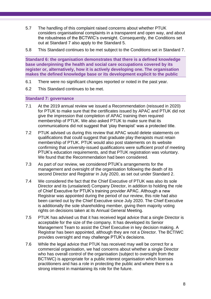- 5.7 The handling of this complaint raised concerns about whether PTUK considers organisational complaints in a transparent and open way, and about the robustness of the BCTWIC's oversight. Consequently, the Conditions set out at Standard 7 also apply to the Standard 5.
- 5.8 This Standard continues to be met subject to the Conditions set in Standard 7.

**Standard 6: the organisation demonstrates that there is a defined knowledge base underpinning the health and social care occupations covered by its register or, alternatively, how it is actively developing one. The organisation makes the defined knowledge base or its development explicit to the public**

- 6.1 There were no significant changes reported or noted in the past year.
- 6.2 This Standard continues to be met.

#### **Standard 7: governance**

- 7.1 At the 2019 annual review we issued a Recommendation (reissued in 2020) for PTUK to make sure that the certificates issued by APAC and PTUK did not give the impression that completion of APAC training then required membership of PTUK. We also asked PTUK to make sure that its communications did not suggest that 'play therapist' was a protected title.
- 7.2 PTUK advised us during this review that APAC would delete statements on qualifications that could suggest that graduate play therapists must retain membership of PTUK. PTUK would also post statements on its website confirming that university-issued qualifications were sufficient proof of meeting PTUK's education requirements, and that PTUK registration was voluntary. We found that the Recommendation had been considered.
- 7.3 As part of our review, we considered PTUK's arrangements for the management and oversight of the organisation following the death of its second Director and Registrar in July 2020, as set out under Standard 2.
- 7.4 We considered the fact that the Chief Executive of PTUK was also its sole Director and its (unsalaried) Company Director, in addition to holding the role of Chief Executive for PTUK's training provider APAC. Although a new Registrar was appointed during the period of our review, this role had also been carried out by the Chief Executive since July 2020. The Chief Executive is additionally the sole shareholding member, giving them majority voting rights on decisions taken at its Annual General Meeting.
- 7.5 PTUK has advised us that it has received legal advice that a single Director is acceptable for the size of the company. It has developed its Senior Management Team to assist the Chief Executive in key decision making. A Registrar has been appointed, although they are not a Director. The BCTIWC provides oversight and may challenge PTUK's decisions.
- 7.6 While the legal advice that PTUK has received may well be correct for a commercial organisation, we had concerns about whether a single Director who has overall control of the organisation (subject to oversight from the BCTIWC) is appropriate for a public interest organisation which licenses practitioners and has a role in protecting the public and where there is a strong interest in maintaining its role for the future.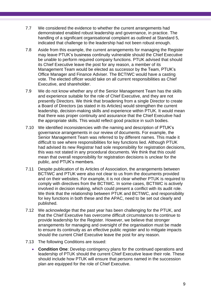- 7.7 We considered the evidence to whether the current arrangements had demonstrated enabled robust leadership and governance, in practice. The handling of a significant organisational complaint as outlined at Standard 5, indicated that challenge to the leadership had not been robust enough.
- 7.8 Aside from this example, the current arrangements for managing the Register may leave PTUK's business continuity vulnerable should the Chief Executive be unable to perform required company functions. PTUK advised that should its Chief Executive leave the post for any reason, a member of its Management Team would be elected as successor by the Team, PTUK's Office Manager and Finance Adviser. The BCTIWC would have a casting vote. The elected officer would take on all current responsibilities as Chief Executive, and shareholder.
- 7.9 We do not know whether any of the Senior Management Team has the skills and experience suitable for the role of Chief Executive, and they are not presently Directors. We think that broadening from a single Director to create a Board of Directors (as stated in its Articles) would strengthen the current leadership, decision-making skills and experience within PTUK. It would mean that there was proper continuity and assurance that the Chief Executive had the appropriate skills. This would reflect good practice in such bodies.
- 7.10 We identified inconsistencies with the naming and description of PTUK's governance arrangements in our review of documents. For example, the Senior Management Team was referred to by different names. This made it difficult to see where responsibilities for key functions lied. Although PTUK had advised its new Registrar had sole responsibility for registration decisions, this was not stated in any procedural documents. We think that this could mean that overall responsibility for registration decisions is unclear for the public, and PTUK's members.
- 7.11 Despite publication of its Articles of Association, the arrangements between BCTIWC and PTUK were also not clear to us from the documents provided and on their websites. For example, it is not clear whether PTUK is required to comply with directives from the BCTIWC. In some cases, BCTIWC is actively involved in decision making, which could present a conflict with its audit role. We think that the relationship between PTUK and BCTIWC, and responsibility for key functions in both these and the APAC, need to be set out clearly and published.
- 7.12 We acknowledge that the past year has been challenging for the PTUK, and that the Chief Executive has overcome difficult circumstances to continue to provide leadership for the Register. However, we believe that stronger arrangements for managing and oversight of the organisation must be made to ensure its continuity as an effective public register and to mitigate impacts should the current Chief Executive leave the post for any reason.
- 7.13 The following Conditions are issued:
	- **Condition One**: Develop contingency plans for the continued operations and leadership of PTUK should the current Chief Executive leave their role. These should include how PTUK will ensure that persons named in the succession plan are equipped for the role of Chief Executive.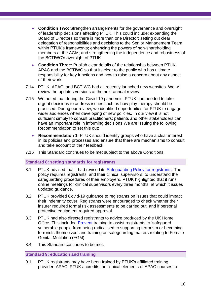- **Condition Two**: Strengthen arrangements for the governance and oversight of leadership decisions affecting PTUK. This could include: expanding the Board of Directors so there is more than one Director; setting out clear delegation of responsibilities and decisions to the Senior Management Team within PTUK's frameworks; enhancing the powers of non-shareholding members at the AGM; and strengthening the independence and robustness of the BCTIWC's oversight of PTUK.
- **Condition Three**: Publish clear details of the relationship between PTUK, APAC and the BCTIWC so that its clear to the public who has ultimate responsibility for key functions and how to raise a concern about any aspect of their work.
- 7.14 PTUK, APAC, and BCTIWC had all recently launched new websites. We will review the updates versions at the next annual review.
- 7.15 We noted that during the Covid-19 pandemic, PTUK had needed to take urgent decisions to address issues such as how play therapy should be practiced. During our review, we identified opportunities for PTUK to engage wider audiences when developing of new policies. In our view it is not sufficient simply to consult practitioners: patients and other stakeholders can have an important role in informing decisions We are issuing the following Recommendation to set this out:
	- **Recommendation 1**: PTUK should identify groups who have a clear interest in its policies and processes and ensure that there are mechanisms to consult and take account of their feedback.
- 7.16 This Standard continues to be met subject to the above Conditions.

#### **Standard 8: setting standards for registrants**

- 8.1 PTUK advised that it had revised its **Safeguarding Policy for registrants**. The policy requires registrants, and their clinical supervisors, to understand the safeguarding procedures of their employers. PTUK highlighted that it runs online meetings for clinical supervisors every three months, at which it issues updated guidance.
- 8.2 PTUK provided Covid-19 guidance to registrants on issues that could impact their indemnity cover. Registrants were encouraged to check whether their insurer required formal risk assessments to be carried out, and if personal protective equipment required approval.
- 8.3 PTUK had also directed registrants to advice produced by the UK Home Office. This included [Prevent](https://www.gov.uk/government/publications/prevent-duty-guidance) training to assist registrants to 'safeguard vulnerable people from being radicalised to supporting terrorism or becoming terrorists themselves' and training on safeguarding matters relating to Female Genital Mutilation (FGM).
- 8.4 This Standard continues to be met.

#### **Standard 9: education and training**

9.1 PTUK registrants may have been trained by PTUK's affiliated training provider, APAC. PTUK accredits the clinical elements of APAC courses to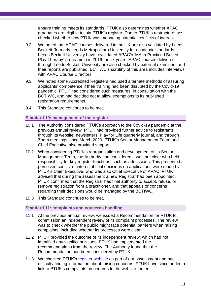ensure training meets its standards. PTUK also determines whether APAC graduates are eligible to join PTUK's register. Due to PTUK's restructure, we checked whether how PTUK was managing potential conflicts of interest.

- 9.2 We noted that APAC courses delivered in the UK are also validated by Leeds Beckett (formerly Leeds Metropolitan) University for academic standards. Leeds Beckett University have revalidated APAC's 'MA in Practiced Based Play Therapy' programme in 2019 for six years. APAC courses delivered through Leeds Beckett University are also checked by external examiners and their reports are published. BCTIWC's scrutiny of this area includes interviews with APAC Course Directors.
- 9.3 We noted some Accredited Registers had used alternate methods of assuring applicants' competence if their training had been disrupted by the Covid-19 pandemic. PTUK had considered such measures, in consultation with the BCTIWC, and had decided not to allow exemptions to its published registration requirements.
- 9.4 This Standard continues to be met.

#### **Standard 10: management of the register**

- 10.1 The Authority considered PTUK's approach to the Covid-19 pandemic at the previous annual review. PTUK had provided further advice to registrants through its website, newsletters, Play for Life quarterly journal, and through Zoom meetings since March 2020. PTUK's Senior Management Team and Chief Executive also provided support.
- 10.2 When considering PTUK's reorganisation and development of its Senior Management Team, the Authority had considered it was not clear who held responsibility for key register functions, such as admissions. This presented a perceived conflict of interest if final decisions on applications were made by PTUK's Chief Executive, who was also Chief Executive of APAC. PTUK advised that during the assessment a new Registrar had been appointed. PTUK confirmed that the Registrar has final authority to accept, refuse, or remove registration from a practitioner, and that appeals or concerns regarding their decisions would be managed by the BCTIWC.
- 10.3 This Standard continues to be met.

#### **Standard 11: complaints and concerns handling**

- <span id="page-10-0"></span>11.1 At the previous annual review, we issued a Recommendation for PTUK to commission an independent review of its complaint processes. The review was to check whether the public might face potential barriers when raising complaints, including whether its processes were clear.
- 11.2 PTUK provided the outcome of its independent review, which had not identified any significant issues. PTUK had implemented the recommendations from the review. The Authority found that the Recommendation had been considered by PTUK.
- 11.3 We checked PTUK's [register website](https://playtherapyregister.org.uk/) as part of our assessment and had difficulty finding information about raising concerns. PTUK have since added a link to PTUK's complaints procedures to the website-footer.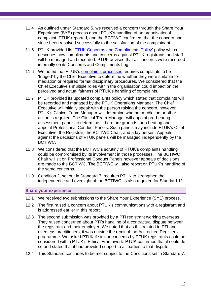- 11.4 As outlined under Standard 5, we received a concern through the Share Your Experience (SYE) process about PTUK's handling of an organisational complaint. PTUK reported, and the BCTIWC confirmed, that the concern had since been resolved successfully to the satisfaction of the complainant.
- 11.5 PTUK provided its ['PTUK Concerns and Compliments Policy'](https://playtherapy.org.uk/wp-content/uploads/2021/06/PTUK-Concerns-and-Compliments-Policy-V2.1docx-1.pdf) policy which describes how compliments and concerns against PTUK registrants and staff will be managed and recorded. PTUK advised that all concerns were recorded internally on its Concerns and Compliments Log.
- 11.6 We noted that PTUK's [complaints processes](https://playtherapy.org.uk/About-PTUK/Complaints/PTUKComplaintProcedures) requires complaints to be 'triaged' by the Chief Executive to determine whether they were suitable for mediation or required formal disciplinary procedures. We considered that the Chief Executive's multiple roles within the organisation could impact on the perceived and actual fairness of PTUK's handling of complaints.
- 11.7 PTUK provided its updated complaints policy which stated that complaints will be recorded and managed by the PTUK Operations Manager. The Chief Executive will initially speak with the person raising the concern, however PTUK's Clinical Team Manager will determine whether mediation or other action is required. The Clinical Team Manager will appoint pre-hearing assessment panels to determine if there are grounds for a hearing and appoint Professional Conduct Panels. Such panels may include PTUK's Chief Executive, the Registrar, the BCTIWC Chair, and a lay person. Appeals against the decisions of PTUK panels will be managed independently by the BCTIWC.
- 11.8 We considered that the BCTIWC's scrutiny of PTUK's complaints handling could be compromised by its involvement in those processes. The BCTIWC Chair will sit on Professional Conduct Panels however appeals of decisions are made to the BCTIWC. The BCTIWC will also report on PTUK's handling of the same concerns.
- 11.9 Condition 2, set out in Standard 7, requires PTUK to strengthen the independence and oversight of the BCTIWC, is also required for Standard 11.

**Share your experience**

- 12.1 We received two submissions to the Share Your Experience (SYE) process.
- 12.2 The first raised a concern about PTUK's communications with a registrant and is addressed earlier in this report.
- 12.3 The second submission was provided by a PTI registrant working overseas. They raised concerned about PTI's handling of a contractual dispute between the registrant and their employer. We noted that as this related to PTI and overseas practitioners, it was outside the remit of the Accredited Registers programme. We asked PTUK if similar concerns by PTUK registrants could be considered within PTUK's Ethical Framework. PTUK confirmed that it could do so and stated that it had provided support to all parties to that dispute.
- 12.4 This Standard continues to be met subject to the Conditions set in Standard 7.